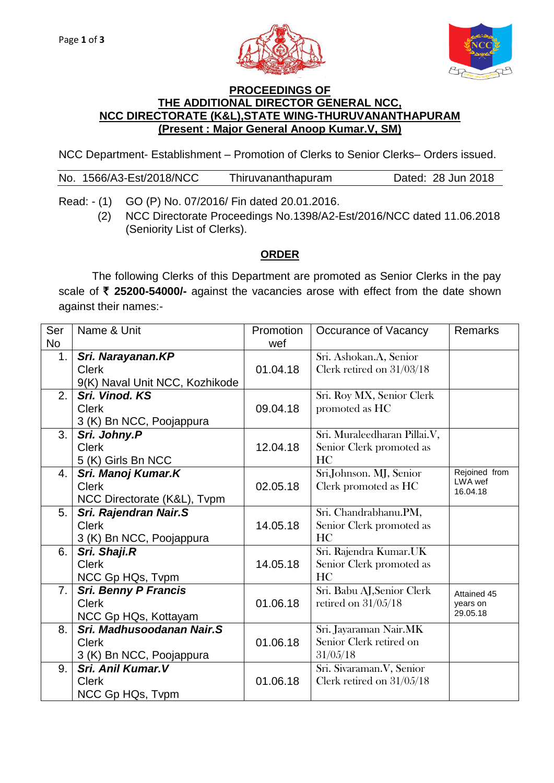



## **PROCEEDINGS OF THE ADDITIONAL DIRECTOR GENERAL NCC, NCC DIRECTORATE (K&L),STATE WING-THURUVANANTHAPURAM (Present : Major General Anoop Kumar.V, SM)**

NCC Department- Establishment – Promotion of Clerks to Senior Clerks– Orders issued.

|  |  | No. 1566/A3-Est/2018/NCC | Thiruvananthapuram | Dated: 28 Jun 2018 |
|--|--|--------------------------|--------------------|--------------------|
|--|--|--------------------------|--------------------|--------------------|

Read: - (1) GO (P) No. 07/2016/ Fin dated 20.01.2016.

(2) NCC Directorate Proceedings No.1398/A2-Est/2016/NCC dated 11.06.2018 (Seniority List of Clerks).

## **ORDER**

The following Clerks of this Department are promoted as Senior Clerks in the pay scale of ₹ 25200-54000/- against the vacancies arose with effect from the date shown against their names:-

| Ser<br><b>No</b> | Name & Unit                    | Promotion<br>wef | Occurance of Vacancy         | <b>Remarks</b>           |
|------------------|--------------------------------|------------------|------------------------------|--------------------------|
| 1.               | Sri. Narayanan.KP              |                  | Sri. Ashokan.A, Senior       |                          |
|                  | <b>Clerk</b>                   | 01.04.18         | Clerk retired on 31/03/18    |                          |
|                  | 9(K) Naval Unit NCC, Kozhikode |                  |                              |                          |
| 2.               | Sri. Vinod. KS                 |                  | Sri. Roy MX, Senior Clerk    |                          |
|                  | <b>Clerk</b>                   | 09.04.18         | promoted as HC               |                          |
|                  | 3 (K) Bn NCC, Poojappura       |                  |                              |                          |
| 3.               | Sri. Johny.P                   |                  | Sri. Muraleedharan Pillai.V, |                          |
|                  | <b>Clerk</b>                   | 12.04.18         | Senior Clerk promoted as     |                          |
|                  | 5 (K) Girls Bn NCC             |                  | HC                           |                          |
| 4.               | Sri. Manoj Kumar.K             |                  | Sri.Johnson. MJ, Senior      | Rejoined from<br>LWA wef |
|                  | <b>Clerk</b>                   | 02.05.18         | Clerk promoted as HC         | 16.04.18                 |
|                  | NCC Directorate (K&L), Tvpm    |                  |                              |                          |
| 5.               | Sri. Rajendran Nair.S          |                  | Sri. Chandrabhanu.PM,        |                          |
|                  | <b>Clerk</b>                   | 14.05.18         | Senior Clerk promoted as     |                          |
|                  | 3 (K) Bn NCC, Poojappura       |                  | HC                           |                          |
| 6.               | Sri. Shaji.R                   |                  | Sri. Rajendra Kumar.UK       |                          |
|                  | <b>Clerk</b>                   | 14.05.18         | Senior Clerk promoted as     |                          |
|                  | NCC Gp HQs, Tvpm               |                  | HC                           |                          |
| 7.               | <b>Sri. Benny P Francis</b>    |                  | Sri. Babu AJ, Senior Clerk   | Attained 45              |
|                  | <b>Clerk</b>                   | 01.06.18         | retired on $31/05/18$        | years on<br>29.05.18     |
|                  | NCC Gp HQs, Kottayam           |                  |                              |                          |
| 8.               | Sri. Madhusoodanan Nair.S      |                  | Sri. Jayaraman Nair.MK       |                          |
|                  | <b>Clerk</b>                   | 01.06.18         | Senior Clerk retired on      |                          |
|                  | 3 (K) Bn NCC, Poojappura       |                  | 31/05/18                     |                          |
| 9.               | Sri. Anil Kumar. V             |                  | Sri. Sivaraman.V, Senior     |                          |
|                  | <b>Clerk</b>                   | 01.06.18         | Clerk retired on 31/05/18    |                          |
|                  | NCC Gp HQs, Tvpm               |                  |                              |                          |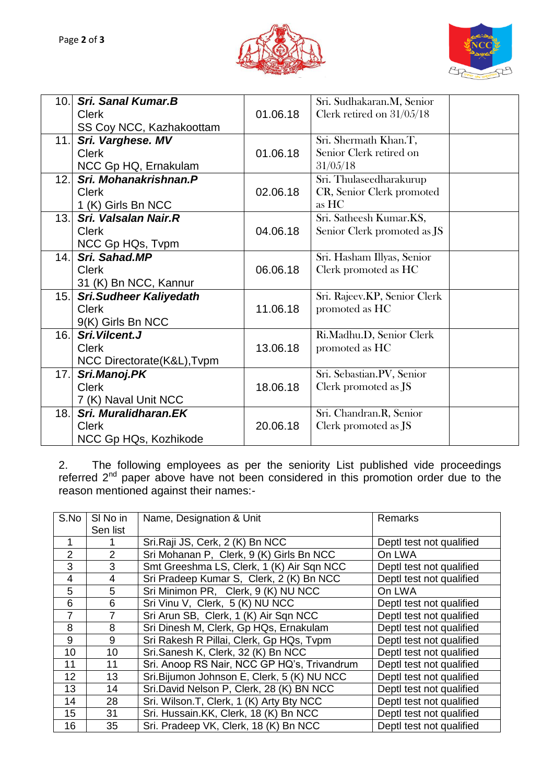



| <b>Sri. Sanal Kumar.B</b>     |                                                             | Sri. Sudhakaran.M, Senior    |
|-------------------------------|-------------------------------------------------------------|------------------------------|
| <b>Clerk</b>                  | 01.06.18                                                    | Clerk retired on 31/05/18    |
| SS Coy NCC, Kazhakoottam      |                                                             |                              |
| Sri. Varghese. MV             |                                                             | Sri. Shermath Khan.T,        |
| <b>Clerk</b>                  | 01.06.18                                                    | Senior Clerk retired on      |
| NCC Gp HQ, Ernakulam          |                                                             | 31/05/18                     |
| Sri. Mohanakrishnan.P         |                                                             | Sri. Thulaseedharakurup      |
| <b>Clerk</b>                  | 02.06.18                                                    | CR, Senior Clerk promoted    |
| 1 (K) Girls Bn NCC            |                                                             | as HC                        |
| Sri. Valsalan Nair.R          |                                                             | Sri. Satheesh Kumar.KS,      |
| <b>Clerk</b>                  | 04.06.18                                                    | Senior Clerk promoted as JS  |
| NCC Gp HQs, Tvpm              |                                                             |                              |
| Sri. Sahad.MP                 |                                                             | Sri. Hasham Illyas, Senior   |
| <b>Clerk</b>                  | 06.06.18                                                    | Clerk promoted as HC         |
| 31 (K) Bn NCC, Kannur         |                                                             |                              |
| <b>Sri.Sudheer Kaliyedath</b> |                                                             | Sri. Rajeev.KP, Senior Clerk |
| <b>Clerk</b>                  | 11.06.18                                                    | promoted as HC               |
| 9(K) Girls Bn NCC             |                                                             |                              |
| Sri. Vilcent. J               |                                                             | Ri.Madhu.D, Senior Clerk     |
| <b>Clerk</b>                  | 13.06.18                                                    | promoted as HC               |
| NCC Directorate(K&L), Tvpm    |                                                             |                              |
| Sri.Manoj.PK                  |                                                             | Sri. Sebastian.PV, Senior    |
| <b>Clerk</b>                  | 18.06.18                                                    | Clerk promoted as JS         |
| 7 (K) Naval Unit NCC          |                                                             |                              |
| Sri. Muralidharan.EK          |                                                             | Sri. Chandran.R, Senior      |
| <b>Clerk</b>                  | 20.06.18                                                    | Clerk promoted as JS         |
| NCC Gp HQs, Kozhikode         |                                                             |                              |
|                               | 10.<br>11.<br>12.<br>13.<br>14.<br>15.<br>16.<br>17.<br>18. |                              |

2. The following employees as per the seniority List published vide proceedings referred 2<sup>nd</sup> paper above have not been considered in this promotion order due to the reason mentioned against their names:-

| S.No           | SI No in | Name, Designation & Unit                    | Remarks                  |  |
|----------------|----------|---------------------------------------------|--------------------------|--|
|                | Sen list |                                             |                          |  |
| 1              |          | Sri.Raji JS, Cerk, 2 (K) Bn NCC             | Deptl test not qualified |  |
| $\overline{2}$ | 2        | Sri Mohanan P, Clerk, 9 (K) Girls Bn NCC    | On LWA                   |  |
| 3              | 3        | Smt Greeshma LS, Clerk, 1 (K) Air Sqn NCC   | Deptl test not qualified |  |
| $\overline{4}$ | 4        | Sri Pradeep Kumar S, Clerk, 2 (K) Bn NCC    | Deptl test not qualified |  |
| 5              | 5        | Sri Minimon PR, Clerk, 9 (K) NU NCC         | On LWA                   |  |
| 6              | 6        | Sri Vinu V, Clerk, 5 (K) NU NCC             | Deptl test not qualified |  |
| $\overline{7}$ |          | Sri Arun SB, Clerk, 1 (K) Air Sqn NCC       | Deptl test not qualified |  |
| 8              | 8        | Sri Dinesh M, Clerk, Gp HQs, Ernakulam      | Deptl test not qualified |  |
| 9              | 9        | Sri Rakesh R Pillai, Clerk, Gp HQs, Tvpm    | Deptl test not qualified |  |
| 10             | 10       | Sri.Sanesh K, Clerk, 32 (K) Bn NCC          | Deptl test not qualified |  |
| 11             | 11       | Sri. Anoop RS Nair, NCC GP HQ's, Trivandrum | Deptl test not qualified |  |
| 12             | 13       | Sri. Bijumon Johnson E, Clerk, 5 (K) NU NCC | Deptl test not qualified |  |
| 13             | 14       | Sri.David Nelson P, Clerk, 28 (K) BN NCC    | Deptl test not qualified |  |
| 14             | 28       | Sri. Wilson.T, Clerk, 1 (K) Arty Bty NCC    | Deptl test not qualified |  |
| 15             | 31       | Sri. Hussain.KK, Clerk, 18 (K) Bn NCC       | Deptl test not qualified |  |
| 16             | 35       | Sri. Pradeep VK, Clerk, 18 (K) Bn NCC       | Deptl test not qualified |  |